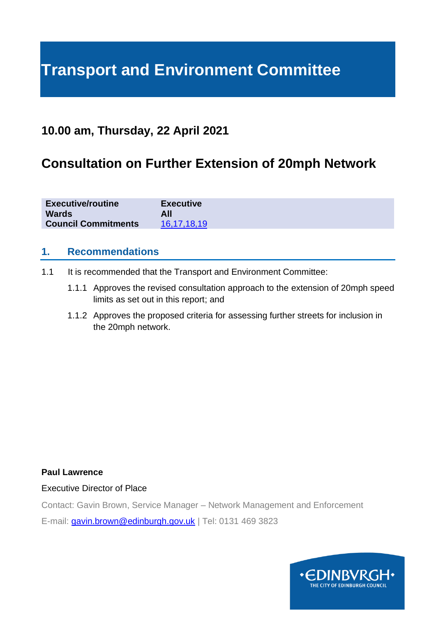# **Transport and Environment Committee**

### **10.00 am, Thursday, 22 April 2021**

## **Consultation on Further Extension of 20mph Network**

| <b>Executive/routine</b>   | <b>Executive</b> |
|----------------------------|------------------|
| <b>Wards</b>               | All              |
| <b>Council Commitments</b> | 16,17,18,19      |

#### **1. Recommendations**

- 1.1 It is recommended that the Transport and Environment Committee:
	- 1.1.1 Approves the revised consultation approach to the extension of 20mph speed limits as set out in this report; and
	- 1.1.2 Approves the proposed criteria for assessing further streets for inclusion in the 20mph network.

#### **Paul Lawrence**

Executive Director of Place

Contact: Gavin Brown, Service Manager – Network Management and Enforcement

E-mail: [gavin.brown@edinburgh.gov.uk](mailto:gavin.brown@edinburgh.gov.uk) | Tel: 0131 469 3823

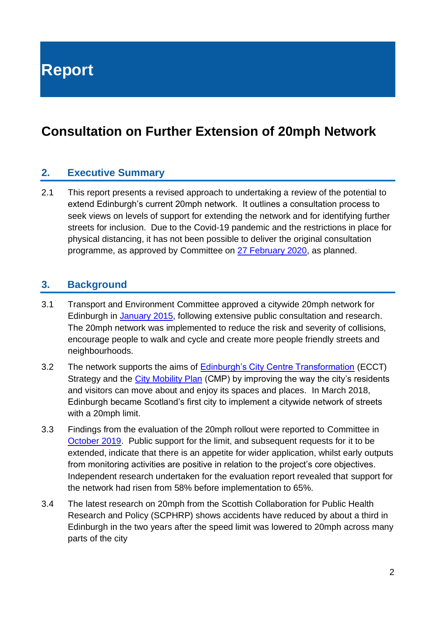**Report**

## **Consultation on Further Extension of 20mph Network**

#### **2. Executive Summary**

2.1 This report presents a revised approach to undertaking a review of the potential to extend Edinburgh's current 20mph network. It outlines a consultation process to seek views on levels of support for extending the network and for identifying further streets for inclusion. Due to the Covid-19 pandemic and the restrictions in place for physical distancing, it has not been possible to deliver the original consultation programme, as approved by Committee on [27 February 2020,](https://democracy.edinburgh.gov.uk/documents/s14506/Item%207.3%20-%20106898_Approach%20to%20Extension%20of%2020mph%20Speed%20Limits_270220_v1.4.pdf) as planned.

#### **3. Background**

- 3.1 Transport and Environment Committee approved a citywide 20mph network for Edinburgh in [January 2015,](https://www.edinburgh.gov.uk/downloads/file/26222/delivering-the-lts-20mph-speed-limit-roll-out-13-jan-2015) following extensive public consultation and research. The 20mph network was implemented to reduce the risk and severity of collisions, encourage people to walk and cycle and create more people friendly streets and neighbourhoods.
- 3.2 The network supports the aims of **Edinburgh's City Centre Transformation (ECCT)** Strategy and the [City Mobility Plan](https://www.edinburgh.gov.uk/city-mobility-plan-1) (CMP) by improving the way the city's residents and visitors can move about and enjoy its spaces and places. In March 2018, Edinburgh became Scotland's first city to implement a citywide network of streets with a 20mph limit.
- 3.3 Findings from the evaluation of the 20mph rollout were reported to Committee in [October 2019.](https://www.edinburgh.gov.uk/downloads/file/26717/evaluation-of-the-20mph-speed-limit-roll-out) Public support for the limit, and subsequent requests for it to be extended, indicate that there is an appetite for wider application, whilst early outputs from monitoring activities are positive in relation to the project's core objectives. Independent research undertaken for the evaluation report revealed that support for the network had risen from 58% before implementation to 65%.
- 3.4 The latest research on 20mph from the Scottish Collaboration for Public Health Research and Policy (SCPHRP) shows accidents have reduced by about a third in Edinburgh in the two years after the speed limit was lowered to 20mph across many parts of the city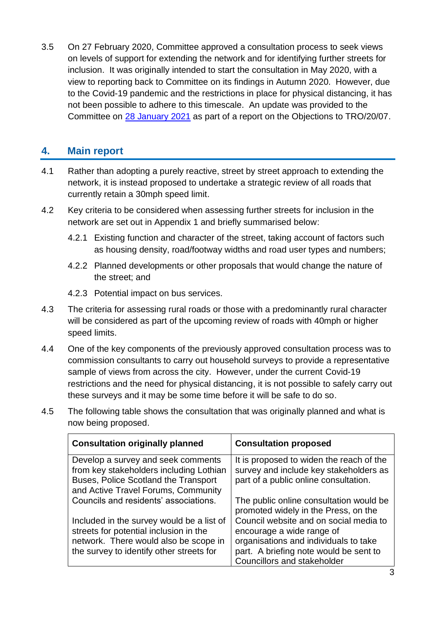3.5 On 27 February 2020, Committee approved a consultation process to seek views on levels of support for extending the network and for identifying further streets for inclusion. It was originally intended to start the consultation in May 2020, with a view to reporting back to Committee on its findings in Autumn 2020. However, due to the Covid-19 pandemic and the restrictions in place for physical distancing, it has not been possible to adhere to this timescale. An update was provided to the Committee on [28 January 2021](https://democracy.edinburgh.gov.uk/documents/s31282/Item%207.5%20-%20Objections%20to%20TRO%20Prop%20ext%20of%2020mph%20with%20apps.pdf) as part of a report on the Objections to TRO/20/07.

#### **4. Main report**

- 4.1 Rather than adopting a purely reactive, street by street approach to extending the network, it is instead proposed to undertake a strategic review of all roads that currently retain a 30mph speed limit.
- 4.2 Key criteria to be considered when assessing further streets for inclusion in the network are set out in Appendix 1 and briefly summarised below:
	- 4.2.1 Existing function and character of the street, taking account of factors such as housing density, road/footway widths and road user types and numbers;
	- 4.2.2 Planned developments or other proposals that would change the nature of the street; and
	- 4.2.3 Potential impact on bus services.
- 4.3 The criteria for assessing rural roads or those with a predominantly rural character will be considered as part of the upcoming review of roads with 40mph or higher speed limits.
- 4.4 One of the key components of the previously approved consultation process was to commission consultants to carry out household surveys to provide a representative sample of views from across the city. However, under the current Covid-19 restrictions and the need for physical distancing, it is not possible to safely carry out these surveys and it may be some time before it will be safe to do so.
- 4.5 The following table shows the consultation that was originally planned and what is now being proposed.

| <b>Consultation originally planned</b>                                        | <b>Consultation proposed</b>                                                       |
|-------------------------------------------------------------------------------|------------------------------------------------------------------------------------|
| Develop a survey and seek comments<br>from key stakeholders including Lothian | It is proposed to widen the reach of the<br>survey and include key stakeholders as |
| Buses, Police Scotland the Transport                                          | part of a public online consultation.                                              |
| and Active Travel Forums, Community                                           |                                                                                    |
| Councils and residents' associations.                                         | The public online consultation would be                                            |
|                                                                               | promoted widely in the Press, on the                                               |
| Included in the survey would be a list of                                     | Council website and on social media to                                             |
| streets for potential inclusion in the                                        | encourage a wide range of                                                          |
| network. There would also be scope in                                         | organisations and individuals to take                                              |
| the survey to identify other streets for                                      | part. A briefing note would be sent to                                             |
|                                                                               | Councillors and stakeholder                                                        |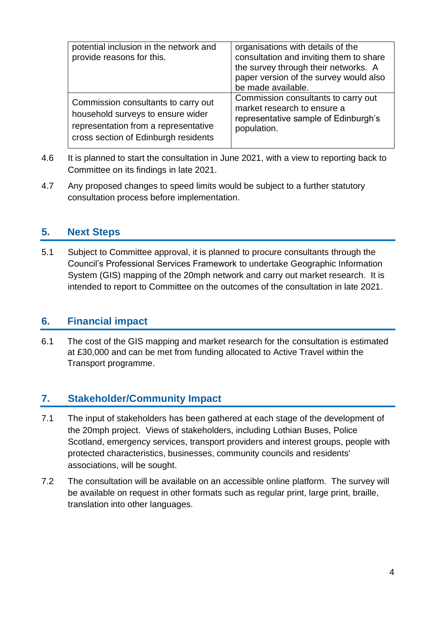| potential inclusion in the network and<br>provide reasons for this. | organisations with details of the<br>consultation and inviting them to share<br>the survey through their networks. A<br>paper version of the survey would also<br>be made available. |
|---------------------------------------------------------------------|--------------------------------------------------------------------------------------------------------------------------------------------------------------------------------------|
| Commission consultants to carry out                                 | Commission consultants to carry out                                                                                                                                                  |
| household surveys to ensure wider                                   | market research to ensure a                                                                                                                                                          |
| representation from a representative                                | representative sample of Edinburgh's                                                                                                                                                 |
| cross section of Edinburgh residents                                | population.                                                                                                                                                                          |

- 4.6 It is planned to start the consultation in June 2021, with a view to reporting back to Committee on its findings in late 2021.
- 4.7 Any proposed changes to speed limits would be subject to a further statutory consultation process before implementation.

#### **5. Next Steps**

5.1 Subject to Committee approval, it is planned to procure consultants through the Council's Professional Services Framework to undertake Geographic Information System (GIS) mapping of the 20mph network and carry out market research. It is intended to report to Committee on the outcomes of the consultation in late 2021.

#### **6. Financial impact**

6.1 The cost of the GIS mapping and market research for the consultation is estimated at £30,000 and can be met from funding allocated to Active Travel within the Transport programme.

#### **7. Stakeholder/Community Impact**

- 7.1 The input of stakeholders has been gathered at each stage of the development of the 20mph project. Views of stakeholders, including Lothian Buses, Police Scotland, emergency services, transport providers and interest groups, people with protected characteristics, businesses, community councils and residents' associations, will be sought.
- 7.2 The consultation will be available on an accessible online platform. The survey will be available on request in other formats such as regular print, large print, braille, translation into other languages.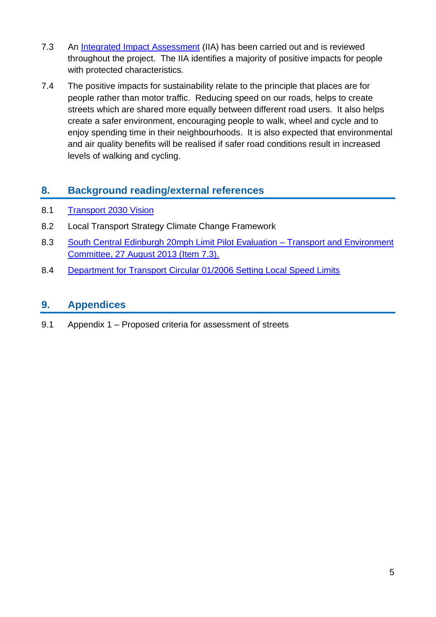- 7.3 An Integrated [Impact Assessment](https://www.edinburgh.gov.uk/downloads/file/29311/20mph-network-implementation-iia) (IIA) has been carried out and is reviewed throughout the project. The IIA identifies a majority of positive impacts for people with protected characteristics.
- 7.4 The positive impacts for sustainability relate to the principle that places are for people rather than motor traffic. Reducing speed on our roads, helps to create streets which are shared more equally between different road users. It also helps create a safer environment, encouraging people to walk, wheel and cycle and to enjoy spending time in their neighbourhoods. It is also expected that environmental and air quality benefits will be realised if safer road conditions result in increased levels of walking and cycling.

#### **8. Background reading/external references**

- 8.1 [Transport 2030 Vision](http://www.edinburgh.gov.uk/downloads/file/355/transport_2030_vision)
- 8.2 Local Transport Strategy Climate Change Framework
- 8.3 [South Central Edinburgh 20mph Limit Pilot Evaluation –](http://www.edinburgh.gov.uk/downloads/file/7820/south_central_edinburgh_20mph_limit_pilot_evaluation_2013) Transport and Environment [Committee, 27 August 2013 \(Item 7.3\).](http://www.edinburgh.gov.uk/downloads/file/7820/south_central_edinburgh_20mph_limit_pilot_evaluation_2013)
- 8.4 Department for Transport [Circular 01/2006 Setting Local Speed Limits](http://www.dft.gov.uk/pgr/roadsafety/speedmanagement/dftcircular106/dftcircular106.pdf)

#### **9. Appendices**

9.1 Appendix 1 – Proposed criteria for assessment of streets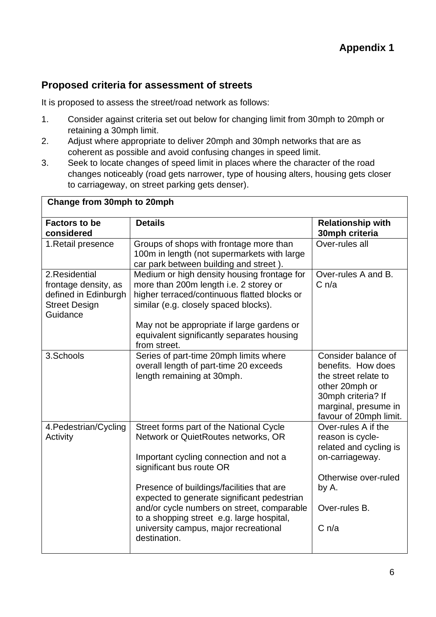#### **Proposed criteria for assessment of streets**

It is proposed to assess the street/road network as follows:

- 1. Consider against criteria set out below for changing limit from 30mph to 20mph or retaining a 30mph limit.
- 2. Adjust where appropriate to deliver 20mph and 30mph networks that are as coherent as possible and avoid confusing changes in speed limit.
- 3. Seek to locate changes of speed limit in places where the character of the road changes noticeably (road gets narrower, type of housing alters, housing gets closer to carriageway, on street parking gets denser).

| Change from 30mph to 20mph                                                                         |                                                                                                                                                                                                                                                                                            |                                                                                                                                                             |  |  |
|----------------------------------------------------------------------------------------------------|--------------------------------------------------------------------------------------------------------------------------------------------------------------------------------------------------------------------------------------------------------------------------------------------|-------------------------------------------------------------------------------------------------------------------------------------------------------------|--|--|
| <b>Factors to be</b><br>considered                                                                 | <b>Details</b>                                                                                                                                                                                                                                                                             | <b>Relationship with</b><br>30mph criteria                                                                                                                  |  |  |
| 1. Retail presence                                                                                 | Groups of shops with frontage more than<br>100m in length (not supermarkets with large<br>car park between building and street).                                                                                                                                                           | Over-rules all                                                                                                                                              |  |  |
| 2. Residential<br>frontage density, as<br>defined in Edinburgh<br><b>Street Design</b><br>Guidance | Medium or high density housing frontage for<br>more than 200m length i.e. 2 storey or<br>higher terraced/continuous flatted blocks or<br>similar (e.g. closely spaced blocks).<br>May not be appropriate if large gardens or<br>equivalent significantly separates housing<br>from street. | Over-rules A and B.<br>C <sub>n/a</sub>                                                                                                                     |  |  |
| 3.Schools                                                                                          | Series of part-time 20mph limits where<br>overall length of part-time 20 exceeds<br>length remaining at 30mph.                                                                                                                                                                             | Consider balance of<br>benefits. How does<br>the street relate to<br>other 20mph or<br>30mph criteria? If<br>marginal, presume in<br>favour of 20mph limit. |  |  |
| 4. Pedestrian/Cycling<br>Activity                                                                  | Street forms part of the National Cycle<br>Network or QuietRoutes networks, OR<br>Important cycling connection and not a<br>significant bus route OR                                                                                                                                       | Over-rules A if the<br>reason is cycle-<br>related and cycling is<br>on-carriageway.                                                                        |  |  |
|                                                                                                    | Presence of buildings/facilities that are<br>expected to generate significant pedestrian                                                                                                                                                                                                   | Otherwise over-ruled<br>by A.                                                                                                                               |  |  |
|                                                                                                    | and/or cycle numbers on street, comparable<br>to a shopping street e.g. large hospital,<br>university campus, major recreational<br>destination.                                                                                                                                           | Over-rules B.<br>C <sub>n/a</sub>                                                                                                                           |  |  |